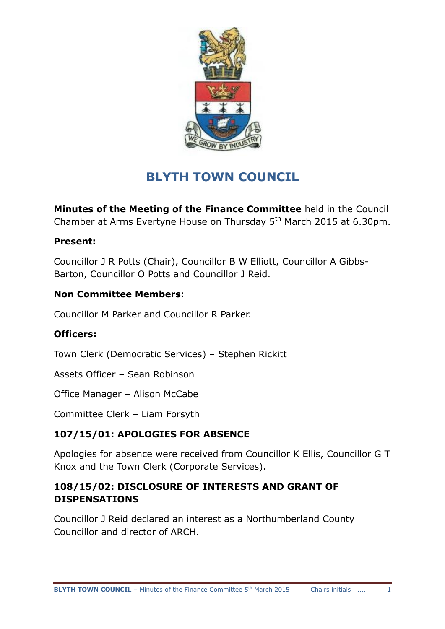

# **BLYTH TOWN COUNCIL**

**Minutes of the Meeting of the Finance Committee** held in the Council Chamber at Arms Evertyne House on Thursday 5<sup>th</sup> March 2015 at 6.30pm.

## **Present:**

Councillor J R Potts (Chair), Councillor B W Elliott, Councillor A Gibbs-Barton, Councillor O Potts and Councillor J Reid.

## **Non Committee Members:**

Councillor M Parker and Councillor R Parker.

## **Officers:**

Town Clerk (Democratic Services) – Stephen Rickitt

Assets Officer – Sean Robinson

Office Manager – Alison McCabe

Committee Clerk – Liam Forsyth

# **107/15/01: APOLOGIES FOR ABSENCE**

Apologies for absence were received from Councillor K Ellis, Councillor G T Knox and the Town Clerk (Corporate Services).

## **108/15/02: DISCLOSURE OF INTERESTS AND GRANT OF DISPENSATIONS**

Councillor J Reid declared an interest as a Northumberland County Councillor and director of ARCH.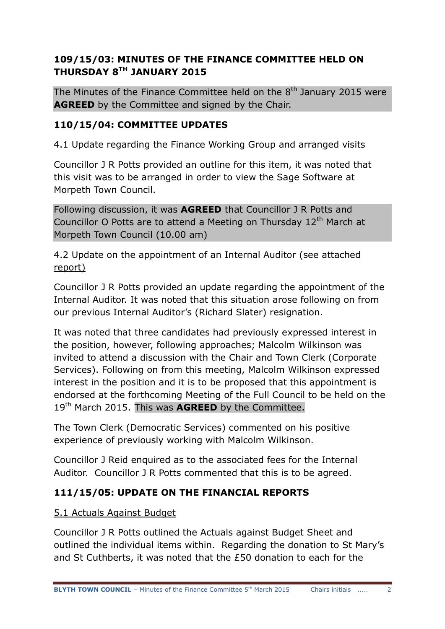# **109/15/03: MINUTES OF THE FINANCE COMMITTEE HELD ON THURSDAY 8TH JANUARY 2015**

The Minutes of the Finance Committee held on the  $8<sup>th</sup>$  January 2015 were **AGREED** by the Committee and signed by the Chair.

## **110/15/04: COMMITTEE UPDATES**

4.1 Update regarding the Finance Working Group and arranged visits

Councillor J R Potts provided an outline for this item, it was noted that this visit was to be arranged in order to view the Sage Software at Morpeth Town Council.

Following discussion, it was **AGREED** that Councillor J R Potts and Councillor O Potts are to attend a Meeting on Thursday  $12<sup>th</sup>$  March at Morpeth Town Council (10.00 am)

## 4.2 Update on the appointment of an Internal Auditor (see attached report)

Councillor J R Potts provided an update regarding the appointment of the Internal Auditor. It was noted that this situation arose following on from our previous Internal Auditor"s (Richard Slater) resignation.

It was noted that three candidates had previously expressed interest in the position, however, following approaches; Malcolm Wilkinson was invited to attend a discussion with the Chair and Town Clerk (Corporate Services). Following on from this meeting, Malcolm Wilkinson expressed interest in the position and it is to be proposed that this appointment is endorsed at the forthcoming Meeting of the Full Council to be held on the 19th March 2015. This was **AGREED** by the Committee.

The Town Clerk (Democratic Services) commented on his positive experience of previously working with Malcolm Wilkinson.

Councillor J Reid enquired as to the associated fees for the Internal Auditor. Councillor J R Potts commented that this is to be agreed.

# **111/15/05: UPDATE ON THE FINANCIAL REPORTS**

#### 5.1 Actuals Against Budget

Councillor J R Potts outlined the Actuals against Budget Sheet and outlined the individual items within. Regarding the donation to St Mary"s and St Cuthberts, it was noted that the £50 donation to each for the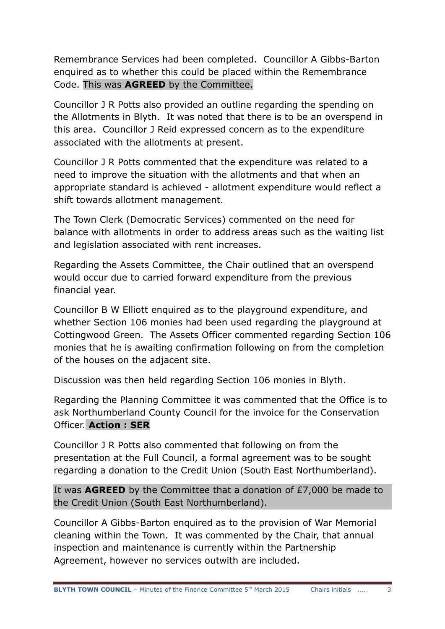Remembrance Services had been completed. Councillor A Gibbs-Barton enquired as to whether this could be placed within the Remembrance Code. This was **AGREED** by the Committee.

Councillor J R Potts also provided an outline regarding the spending on the Allotments in Blyth. It was noted that there is to be an overspend in this area. Councillor J Reid expressed concern as to the expenditure associated with the allotments at present.

Councillor J R Potts commented that the expenditure was related to a need to improve the situation with the allotments and that when an appropriate standard is achieved - allotment expenditure would reflect a shift towards allotment management.

The Town Clerk (Democratic Services) commented on the need for balance with allotments in order to address areas such as the waiting list and legislation associated with rent increases.

Regarding the Assets Committee, the Chair outlined that an overspend would occur due to carried forward expenditure from the previous financial year.

Councillor B W Elliott enquired as to the playground expenditure, and whether Section 106 monies had been used regarding the playground at Cottingwood Green. The Assets Officer commented regarding Section 106 monies that he is awaiting confirmation following on from the completion of the houses on the adjacent site.

Discussion was then held regarding Section 106 monies in Blyth.

Regarding the Planning Committee it was commented that the Office is to ask Northumberland County Council for the invoice for the Conservation Officer. **Action : SER**

Councillor J R Potts also commented that following on from the presentation at the Full Council, a formal agreement was to be sought regarding a donation to the Credit Union (South East Northumberland).

It was **AGREED** by the Committee that a donation of £7,000 be made to the Credit Union (South East Northumberland).

Councillor A Gibbs-Barton enquired as to the provision of War Memorial cleaning within the Town. It was commented by the Chair, that annual inspection and maintenance is currently within the Partnership Agreement, however no services outwith are included.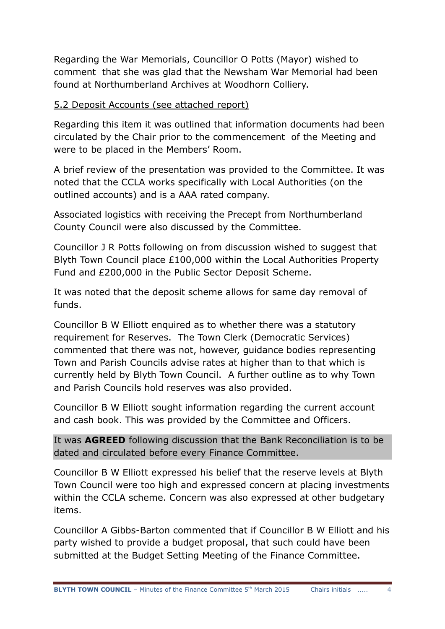Regarding the War Memorials, Councillor O Potts (Mayor) wished to comment that she was glad that the Newsham War Memorial had been found at Northumberland Archives at Woodhorn Colliery.

## 5.2 Deposit Accounts (see attached report)

Regarding this item it was outlined that information documents had been circulated by the Chair prior to the commencement of the Meeting and were to be placed in the Members' Room.

A brief review of the presentation was provided to the Committee. It was noted that the CCLA works specifically with Local Authorities (on the outlined accounts) and is a AAA rated company.

Associated logistics with receiving the Precept from Northumberland County Council were also discussed by the Committee.

Councillor J R Potts following on from discussion wished to suggest that Blyth Town Council place £100,000 within the Local Authorities Property Fund and £200,000 in the Public Sector Deposit Scheme.

It was noted that the deposit scheme allows for same day removal of funds.

Councillor B W Elliott enquired as to whether there was a statutory requirement for Reserves. The Town Clerk (Democratic Services) commented that there was not, however, guidance bodies representing Town and Parish Councils advise rates at higher than to that which is currently held by Blyth Town Council. A further outline as to why Town and Parish Councils hold reserves was also provided.

Councillor B W Elliott sought information regarding the current account and cash book. This was provided by the Committee and Officers.

It was **AGREED** following discussion that the Bank Reconciliation is to be dated and circulated before every Finance Committee.

Councillor B W Elliott expressed his belief that the reserve levels at Blyth Town Council were too high and expressed concern at placing investments within the CCLA scheme. Concern was also expressed at other budgetary items.

Councillor A Gibbs-Barton commented that if Councillor B W Elliott and his party wished to provide a budget proposal, that such could have been submitted at the Budget Setting Meeting of the Finance Committee.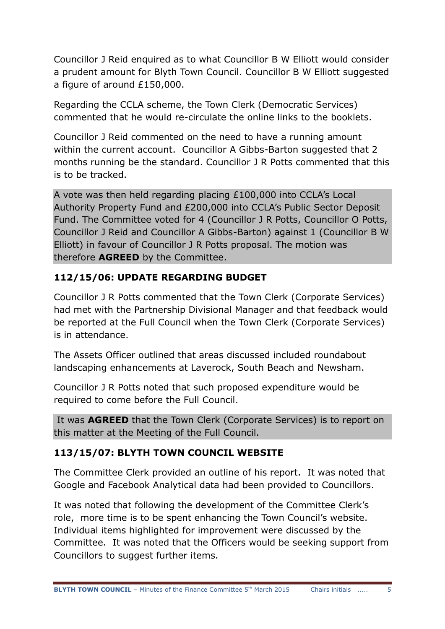Councillor J Reid enquired as to what Councillor B W Elliott would consider a prudent amount for Blyth Town Council. Councillor B W Elliott suggested a figure of around £150,000.

Regarding the CCLA scheme, the Town Clerk (Democratic Services) commented that he would re-circulate the online links to the booklets.

Councillor J Reid commented on the need to have a running amount within the current account. Councillor A Gibbs-Barton suggested that 2 months running be the standard. Councillor J R Potts commented that this is to be tracked.

A vote was then held regarding placing £100,000 into CCLA"s Local Authority Property Fund and £200,000 into CCLA"s Public Sector Deposit Fund. The Committee voted for 4 (Councillor J R Potts, Councillor O Potts, Councillor J Reid and Councillor A Gibbs-Barton) against 1 (Councillor B W Elliott) in favour of Councillor J R Potts proposal. The motion was therefore **AGREED** by the Committee.

# **112/15/06: UPDATE REGARDING BUDGET**

Councillor J R Potts commented that the Town Clerk (Corporate Services) had met with the Partnership Divisional Manager and that feedback would be reported at the Full Council when the Town Clerk (Corporate Services) is in attendance.

The Assets Officer outlined that areas discussed included roundabout landscaping enhancements at Laverock, South Beach and Newsham.

Councillor J R Potts noted that such proposed expenditure would be required to come before the Full Council.

It was **AGREED** that the Town Clerk (Corporate Services) is to report on this matter at the Meeting of the Full Council.

# **113/15/07: BLYTH TOWN COUNCIL WEBSITE**

The Committee Clerk provided an outline of his report. It was noted that Google and Facebook Analytical data had been provided to Councillors.

It was noted that following the development of the Committee Clerk"s role, more time is to be spent enhancing the Town Council's website. Individual items highlighted for improvement were discussed by the Committee. It was noted that the Officers would be seeking support from Councillors to suggest further items.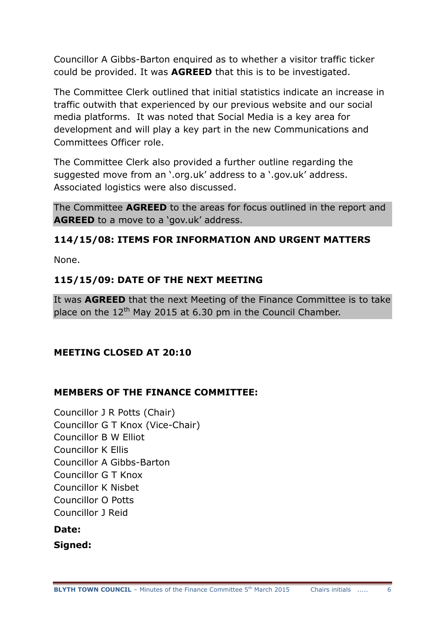Councillor A Gibbs-Barton enquired as to whether a visitor traffic ticker could be provided. It was **AGREED** that this is to be investigated.

The Committee Clerk outlined that initial statistics indicate an increase in traffic outwith that experienced by our previous website and our social media platforms. It was noted that Social Media is a key area for development and will play a key part in the new Communications and Committees Officer role.

The Committee Clerk also provided a further outline regarding the suggested move from an '.org.uk' address to a '.gov.uk' address. Associated logistics were also discussed.

The Committee **AGREED** to the areas for focus outlined in the report and **AGREED** to a move to a 'gov.uk' address.

## **114/15/08: ITEMS FOR INFORMATION AND URGENT MATTERS**

None.

## **115/15/09: DATE OF THE NEXT MEETING**

It was **AGREED** that the next Meeting of the Finance Committee is to take place on the  $12<sup>th</sup>$  May 2015 at 6.30 pm in the Council Chamber.

## **MEETING CLOSED AT 20:10**

## **MEMBERS OF THE FINANCE COMMITTEE:**

Councillor J R Potts (Chair) Councillor G T Knox (Vice-Chair) Councillor B W Elliot Councillor K Ellis Councillor A Gibbs-Barton Councillor G T Knox Councillor K Nisbet Councillor O Potts Councillor J Reid

## **Date:**

**Signed:**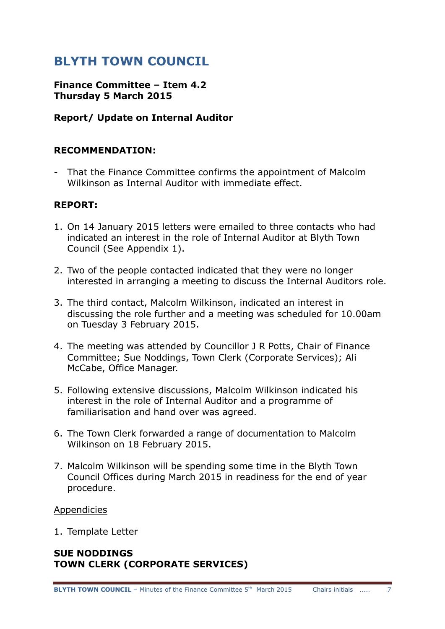# **BLYTH TOWN COUNCIL**

#### **Finance Committee – Item 4.2 Thursday 5 March 2015**

#### **Report/ Update on Internal Auditor**

#### **RECOMMENDATION:**

- That the Finance Committee confirms the appointment of Malcolm Wilkinson as Internal Auditor with immediate effect.

#### **REPORT:**

- 1. On 14 January 2015 letters were emailed to three contacts who had indicated an interest in the role of Internal Auditor at Blyth Town Council (See Appendix 1).
- 2. Two of the people contacted indicated that they were no longer interested in arranging a meeting to discuss the Internal Auditors role.
- 3. The third contact, Malcolm Wilkinson, indicated an interest in discussing the role further and a meeting was scheduled for 10.00am on Tuesday 3 February 2015.
- 4. The meeting was attended by Councillor J R Potts, Chair of Finance Committee; Sue Noddings, Town Clerk (Corporate Services); Ali McCabe, Office Manager.
- 5. Following extensive discussions, Malcolm Wilkinson indicated his interest in the role of Internal Auditor and a programme of familiarisation and hand over was agreed.
- 6. The Town Clerk forwarded a range of documentation to Malcolm Wilkinson on 18 February 2015.
- 7. Malcolm Wilkinson will be spending some time in the Blyth Town Council Offices during March 2015 in readiness for the end of year procedure.

#### Appendicies

1. Template Letter

#### **SUE NODDINGS TOWN CLERK (CORPORATE SERVICES)**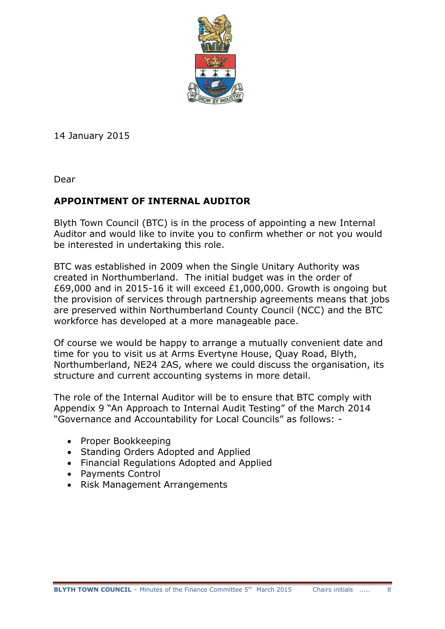

14 January 2015

Dear

# **APPOINTMENT OF INTERNAL AUDITOR**

Blyth Town Council (BTC) is in the process of appointing a new Internal Auditor and would like to invite you to confirm whether or not you would be interested in undertaking this role.

BTC was established in 2009 when the Single Unitary Authority was created in Northumberland. The initial budget was in the order of £69,000 and in 2015-16 it will exceed £1,000,000. Growth is ongoing but the provision of services through partnership agreements means that jobs are preserved within Northumberland County Council (NCC) and the BTC workforce has developed at a more manageable pace.

Of course we would be happy to arrange a mutually convenient date and time for you to visit us at Arms Evertyne House, Quay Road, Blyth, Northumberland, NE24 2AS, where we could discuss the organisation, its structure and current accounting systems in more detail.

The role of the Internal Auditor will be to ensure that BTC comply with Appendix 9 "An Approach to Internal Audit Testing" of the March 2014 "Governance and Accountability for Local Councils" as follows: -

- Proper Bookkeeping
- Standing Orders Adopted and Applied
- Financial Regulations Adopted and Applied
- Payments Control
- Risk Management Arrangements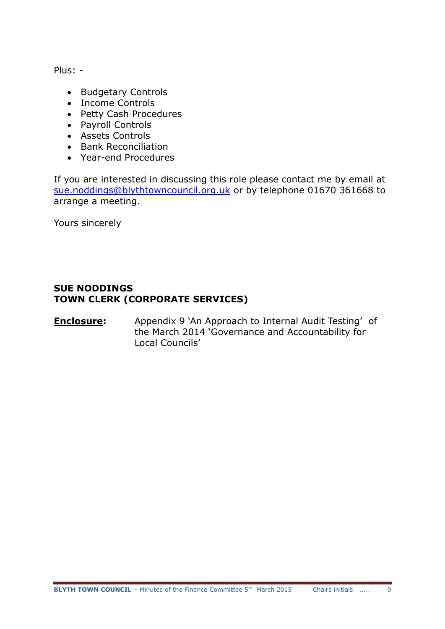Plus: -

- Budgetary Controls
- Income Controls
- Petty Cash Procedures
- Payroll Controls
- Assets Controls
- Bank Reconciliation
- Year-end Procedures

If you are interested in discussing this role please contact me by email at [sue.noddings@blythtowncouncil.org.uk](mailto:sue.noddings@blythtowncouncil.org.uk) or by telephone 01670 361668 to arrange a meeting.

Yours sincerely

#### **SUE NODDINGS TOWN CLERK (CORPORATE SERVICES)**

#### **Enclosure:** Appendix 9 `An Approach to Internal Audit Testing' of the March 2014 "Governance and Accountability for Local Councils"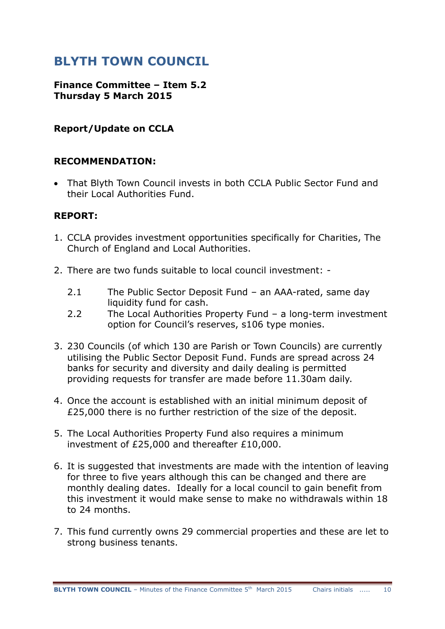# **BLYTH TOWN COUNCIL**

#### **Finance Committee – Item 5.2 Thursday 5 March 2015**

## **Report/Update on CCLA**

#### **RECOMMENDATION:**

• That Blyth Town Council invests in both CCLA Public Sector Fund and their Local Authorities Fund.

#### **REPORT:**

- 1. CCLA provides investment opportunities specifically for Charities, The Church of England and Local Authorities.
- 2. There are two funds suitable to local council investment:
	- 2.1 The Public Sector Deposit Fund an AAA-rated, same day liquidity fund for cash.
	- 2.2 The Local Authorities Property Fund a long-term investment option for Council's reserves, s106 type monies.
- 3. 230 Councils (of which 130 are Parish or Town Councils) are currently utilising the Public Sector Deposit Fund. Funds are spread across 24 banks for security and diversity and daily dealing is permitted providing requests for transfer are made before 11.30am daily.
- 4. Once the account is established with an initial minimum deposit of £25,000 there is no further restriction of the size of the deposit.
- 5. The Local Authorities Property Fund also requires a minimum investment of £25,000 and thereafter £10,000.
- 6. It is suggested that investments are made with the intention of leaving for three to five years although this can be changed and there are monthly dealing dates. Ideally for a local council to gain benefit from this investment it would make sense to make no withdrawals within 18 to 24 months.
- 7. This fund currently owns 29 commercial properties and these are let to strong business tenants.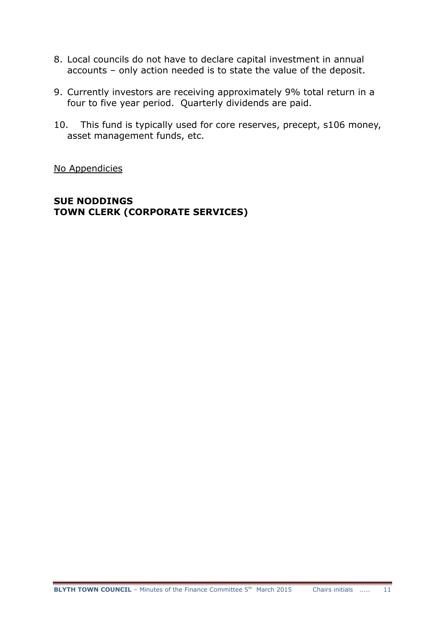- 8. Local councils do not have to declare capital investment in annual accounts – only action needed is to state the value of the deposit.
- 9. Currently investors are receiving approximately 9% total return in a four to five year period. Quarterly dividends are paid.
- 10. This fund is typically used for core reserves, precept, s106 money, asset management funds, etc.

No Appendicies

#### **SUE NODDINGS TOWN CLERK (CORPORATE SERVICES)**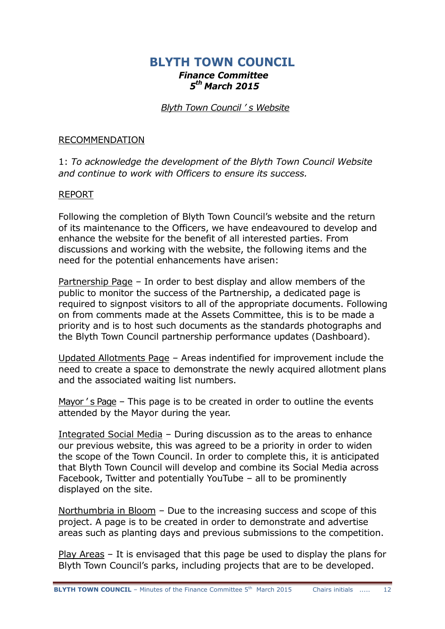## **BLYTH TOWN COUNCIL** *Finance Committee 5 th March 2015*

#### *Blyth Town Council ' s Website*

#### RECOMMENDATION

1: *To acknowledge the development of the Blyth Town Council Website and continue to work with Officers to ensure its success.*

#### REPORT

Following the completion of Blyth Town Council's website and the return of its maintenance to the Officers, we have endeavoured to develop and enhance the website for the benefit of all interested parties. From discussions and working with the website, the following items and the need for the potential enhancements have arisen:

Partnership Page – In order to best display and allow members of the public to monitor the success of the Partnership, a dedicated page is required to signpost visitors to all of the appropriate documents. Following on from comments made at the Assets Committee, this is to be made a priority and is to host such documents as the standards photographs and the Blyth Town Council partnership performance updates (Dashboard).

Updated Allotments Page – Areas indentified for improvement include the need to create a space to demonstrate the newly acquired allotment plans and the associated waiting list numbers.

Mayor 's Page – This page is to be created in order to outline the events attended by the Mayor during the year.

Integrated Social Media – During discussion as to the areas to enhance our previous website, this was agreed to be a priority in order to widen the scope of the Town Council. In order to complete this, it is anticipated that Blyth Town Council will develop and combine its Social Media across Facebook, Twitter and potentially YouTube – all to be prominently displayed on the site.

Northumbria in Bloom – Due to the increasing success and scope of this project. A page is to be created in order to demonstrate and advertise areas such as planting days and previous submissions to the competition.

Play Areas – It is envisaged that this page be used to display the plans for Blyth Town Council's parks, including projects that are to be developed.